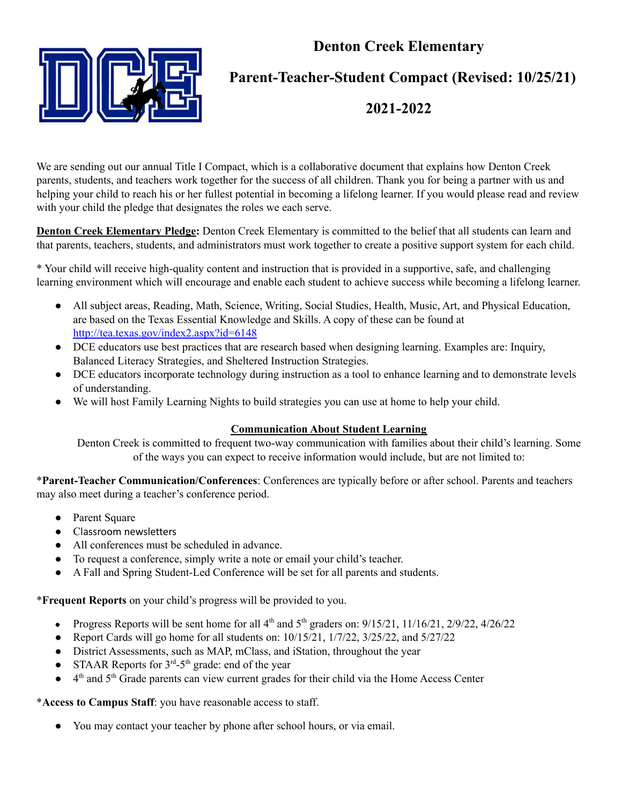# **Denton Creek Elementary**



## **Parent-Teacher-Student Compact (Revised: 10/25/21)**

### **2021-2022**

We are sending out our annual Title I Compact, which is a collaborative document that explains how Denton Creek parents, students, and teachers work together for the success of all children. Thank you for being a partner with us and helping your child to reach his or her fullest potential in becoming a lifelong learner. If you would please read and review with your child the pledge that designates the roles we each serve.

**Denton Creek Elementary Pledge:** Denton Creek Elementary is committed to the belief that all students can learn and that parents, teachers, students, and administrators must work together to create a positive support system for each child.

\* Your child will receive high-quality content and instruction that is provided in a supportive, safe, and challenging learning environment which will encourage and enable each student to achieve success while becoming a lifelong learner.

- All subject areas, Reading, Math, Science, Writing, Social Studies, Health, Music, Art, and Physical Education, are based on the Texas Essential Knowledge and Skills. A copy of these can be found at <http://tea.texas.gov/index2.aspx?id=6148>
- DCE educators use best practices that are research based when designing learning. Examples are: Inquiry, Balanced Literacy Strategies, and Sheltered Instruction Strategies.
- DCE educators incorporate technology during instruction as a tool to enhance learning and to demonstrate levels of understanding.
- We will host Family Learning Nights to build strategies you can use at home to help your child.

#### **Communication About Student Learning**

Denton Creek is committed to frequent two-way communication with families about their child's learning. Some of the ways you can expect to receive information would include, but are not limited to:

\***Parent-Teacher Communication/Conferences**: Conferences are typically before or after school. Parents and teachers may also meet during a teacher's conference period.

- Parent Square
- Classroom newsletters
- All conferences must be scheduled in advance.
- To request a conference, simply write a note or email your child's teacher.
- A Fall and Spring Student-Led Conference will be set for all parents and students.

\***Frequent Reports** on your child's progress will be provided to you.

- Progress Reports will be sent home for all  $4<sup>th</sup>$  and  $5<sup>th</sup>$  graders on:  $9/15/21$ ,  $11/16/21$ ,  $2/9/22$ ,  $4/26/22$
- Report Cards will go home for all students on: 10/15/21, 1/7/22, 3/25/22, and 5/27/22
- District Assessments, such as MAP, mClass, and iStation, throughout the year
- STAAR Reports for  $3<sup>rd</sup> 5<sup>th</sup>$  grade: end of the year
- 4<sup>th</sup> and 5<sup>th</sup> Grade parents can view current grades for their child via the Home Access Center

\***Access to Campus Staff**: you have reasonable access to staff.

● You may contact your teacher by phone after school hours, or via email.